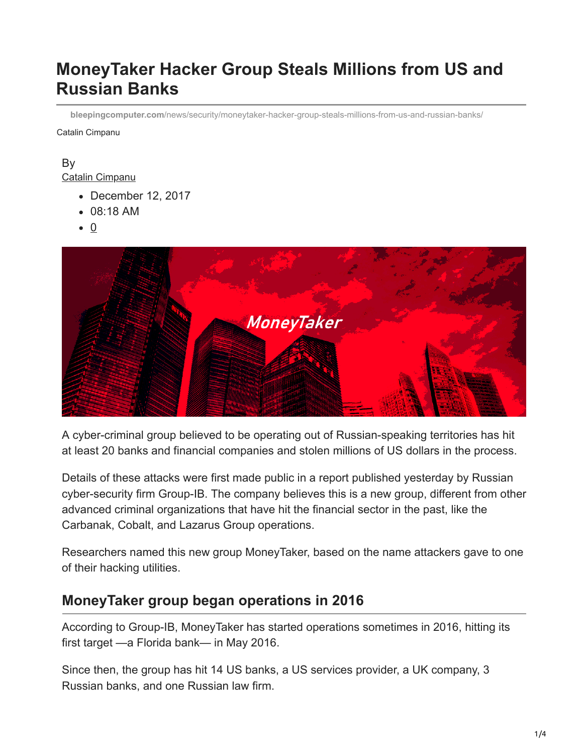# **MoneyTaker Hacker Group Steals Millions from US and Russian Banks**

**bleepingcomputer.com**[/news/security/moneytaker-hacker-group-steals-millions-from-us-and-russian-banks/](https://www.bleepingcomputer.com/news/security/moneytaker-hacker-group-steals-millions-from-us-and-russian-banks/)

Catalin Cimpanu

#### By [Catalin Cimpanu](https://www.bleepingcomputer.com/author/catalin-cimpanu/)

- December 12, 2017
- 08:18 AM
- $\bullet$  0



A cyber-criminal group believed to be operating out of Russian-speaking territories has hit at least 20 banks and financial companies and stolen millions of US dollars in the process.

Details of these attacks were first made public in a report published yesterday by Russian cyber-security firm Group-IB. The company believes this is a new group, different from other advanced criminal organizations that have hit the financial sector in the past, like the Carbanak, Cobalt, and Lazarus Group operations.

Researchers named this new group MoneyTaker, based on the name attackers gave to one of their hacking utilities.

### **MoneyTaker group began operations in 2016**

According to Group-IB, MoneyTaker has started operations sometimes in 2016, hitting its first target —a Florida bank— in May 2016.

Since then, the group has hit 14 US banks, a US services provider, a UK company, 3 Russian banks, and one Russian law firm.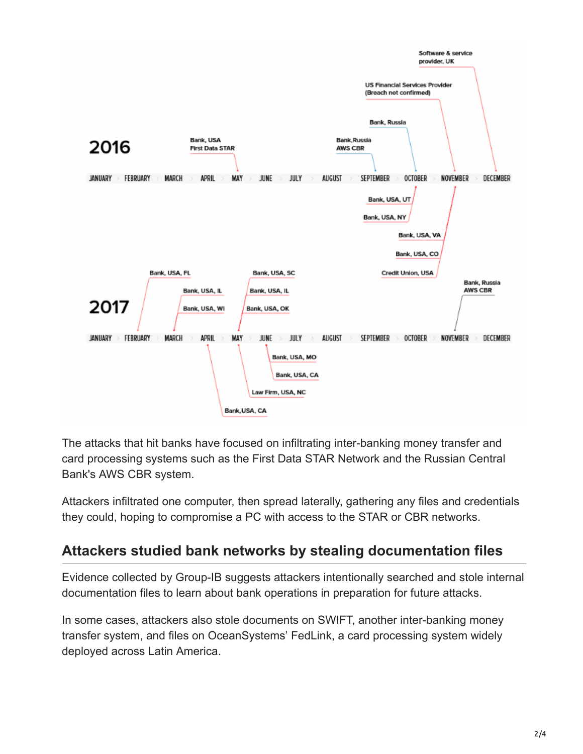

The attacks that hit banks have focused on infiltrating inter-banking money transfer and card processing systems such as the First Data STAR Network and the Russian Central Bank's AWS CBR system.

Attackers infiltrated one computer, then spread laterally, gathering any files and credentials they could, hoping to compromise a PC with access to the STAR or CBR networks.

# **Attackers studied bank networks by stealing documentation files**

Evidence collected by Group-IB suggests attackers intentionally searched and stole internal documentation files to learn about bank operations in preparation for future attacks.

In some cases, attackers also stole documents on SWIFT, another inter-banking money transfer system, and files on OceanSystems' FedLink, a card processing system widely deployed across Latin America.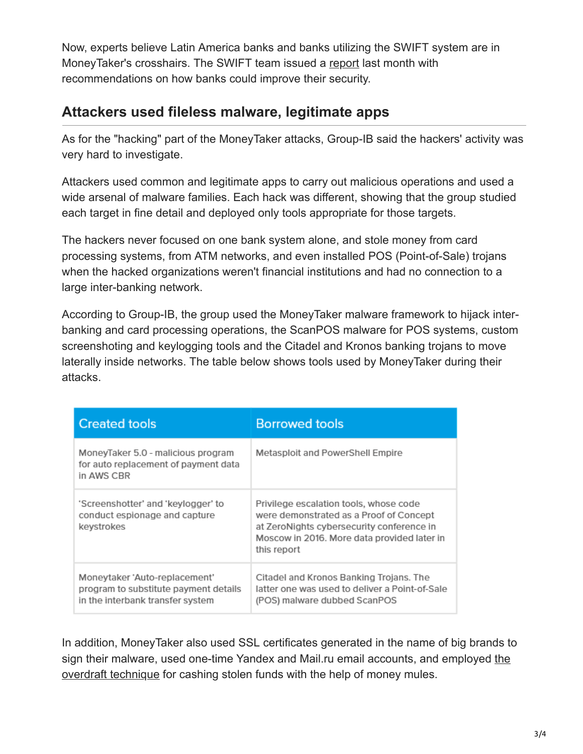Now, experts believe Latin America banks and banks utilizing the SWIFT system are in MoneyTaker's crosshairs. The SWIFT team issued a [report](https://www.swift.com/news-events/news/the-evolving-cyber-threat-to-the-global-banking-community) last month with recommendations on how banks could improve their security.

# **Attackers used fileless malware, legitimate apps**

As for the "hacking" part of the MoneyTaker attacks, Group-IB said the hackers' activity was very hard to investigate.

Attackers used common and legitimate apps to carry out malicious operations and used a wide arsenal of malware families. Each hack was different, showing that the group studied each target in fine detail and deployed only tools appropriate for those targets.

The hackers never focused on one bank system alone, and stole money from card processing systems, from ATM networks, and even installed POS (Point-of-Sale) trojans when the hacked organizations weren't financial institutions and had no connection to a large inter-banking network.

According to Group-IB, the group used the MoneyTaker malware framework to hijack interbanking and card processing operations, the ScanPOS malware for POS systems, custom screenshoting and keylogging tools and the Citadel and Kronos banking trojans to move laterally inside networks. The table below shows tools used by MoneyTaker during their attacks.

| <b>Created tools</b>                                                                                       | <b>Borrowed tools</b>                                                                                                                                                                        |
|------------------------------------------------------------------------------------------------------------|----------------------------------------------------------------------------------------------------------------------------------------------------------------------------------------------|
| MoneyTaker 5.0 - malicious program<br>for auto replacement of payment data<br>in AWS CBR                   | Metasploit and PowerShell Empire                                                                                                                                                             |
| 'Screenshotter' and 'keylogger' to<br>conduct espionage and capture<br>keystrokes                          | Privilege escalation tools, whose code<br>were demonstrated as a Proof of Concept<br>at ZeroNights cybersecurity conference in<br>Moscow in 2016. More data provided later in<br>this report |
| Moneytaker 'Auto-replacement'<br>program to substitute payment details<br>in the interbank transfer system | Citadel and Kronos Banking Trojans. The<br>latter one was used to deliver a Point-of-Sale<br>(POS) malware dubbed ScanPOS                                                                    |

In addition, MoneyTaker also used SSL certificates generated in the name of big brands to [sign their malware, used one-time Yandex and Mail.ru email accounts, and employed the](https://www.bleepingcomputer.com/news/security/bank-cyber-thieves-get-clever-with-new-overdraft-technique/) overdraft technique for cashing stolen funds with the help of money mules.